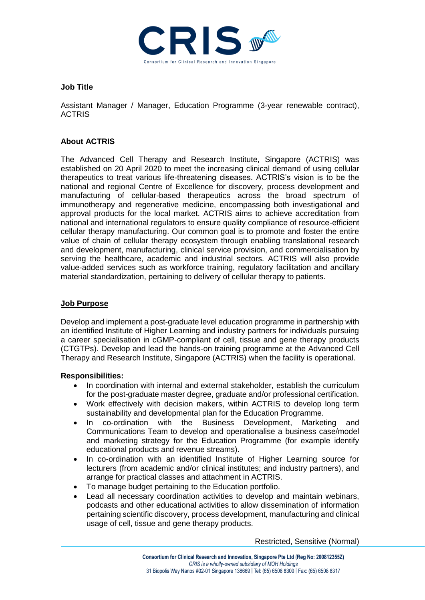

## **Job Title**

Assistant Manager / Manager, Education Programme (3-year renewable contract), **ACTRIS** 

# **About ACTRIS**

The Advanced Cell Therapy and Research Institute, Singapore (ACTRIS) was established on 20 April 2020 to meet the increasing clinical demand of using cellular therapeutics to treat various life-threatening diseases. ACTRIS's vision is to be the national and regional Centre of Excellence for discovery, process development and manufacturing of cellular-based therapeutics across the broad spectrum of immunotherapy and regenerative medicine, encompassing both investigational and approval products for the local market. ACTRIS aims to achieve accreditation from national and international regulators to ensure quality compliance of resource-efficient cellular therapy manufacturing. Our common goal is to promote and foster the entire value of chain of cellular therapy ecosystem through enabling translational research and development, manufacturing, clinical service provision, and commercialisation by serving the healthcare, academic and industrial sectors. ACTRIS will also provide value-added services such as workforce training, regulatory facilitation and ancillary material standardization, pertaining to delivery of cellular therapy to patients.

# **Job Purpose**

Develop and implement a post-graduate level education programme in partnership with an identified Institute of Higher Learning and industry partners for individuals pursuing a career specialisation in cGMP-compliant of cell, tissue and gene therapy products (CTGTPs). Develop and lead the hands-on training programme at the Advanced Cell Therapy and Research Institute, Singapore (ACTRIS) when the facility is operational.

### **Responsibilities:**

- In coordination with internal and external stakeholder, establish the curriculum for the post-graduate master degree, graduate and/or professional certification.
- Work effectively with decision makers, within ACTRIS to develop long term sustainability and developmental plan for the Education Programme.
- In co-ordination with the Business Development, Marketing and Communications Team to develop and operationalise a business case/model and marketing strategy for the Education Programme (for example identify educational products and revenue streams).
- In co-ordination with an identified Institute of Higher Learning source for lecturers (from academic and/or clinical institutes; and industry partners), and arrange for practical classes and attachment in ACTRIS.
- To manage budget pertaining to the Education portfolio.
- Lead all necessary coordination activities to develop and maintain webinars, podcasts and other educational activities to allow dissemination of information pertaining scientific discovery, process development, manufacturing and clinical usage of cell, tissue and gene therapy products.

Restricted, Sensitive (Normal)